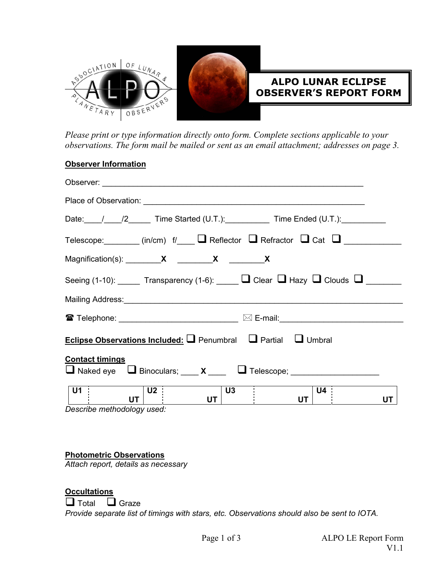

# ALPO LUNAR ECLIPSE OBSERVER'S REPORT FORM

Please print or type information directly onto form. Complete sections applicable to your observations. The form mail be mailed or sent as an email attachment; addresses on page 3.

#### Observer Information

| Date: 1 2 7 Time Started (U.T.): Time Ended (U.T.):                                                                                                                                         |
|---------------------------------------------------------------------------------------------------------------------------------------------------------------------------------------------|
| Telescope: $\Box$ (in/cm) f/ $\Box$ Reflector $\Box$ Refractor $\Box$ Cat $\Box$                                                                                                            |
|                                                                                                                                                                                             |
| Seeing (1-10): $\Box$ Transparency (1-6): $\Box$ Clear $\Box$ Hazy $\Box$ Clouds $\Box$ $\Box$                                                                                              |
|                                                                                                                                                                                             |
| <b>■ Telephone:</b> _________________________ ⊠ E-mail: _______________________________                                                                                                     |
| <b>Eclipse Observations Included:</b> Penumbral Partial Pumbral                                                                                                                             |
| <b>Contact timings</b><br>$\Box$ Naked eye $\Box$ Binoculars; $\Box$ X $\Box$ Telescope; $\Box$ $\Box$ Telescope;                                                                           |
| U1 <br>$\overline{\mathsf{U}}$ 3<br>U2<br>U4<br><u>ut and the set of the set of the set of the set of the set of the set of the set of the set of the set of the </u><br>$UT$ $\vert$<br>UT |

Describe methodology used:

#### Photometric Observations

Attach report, details as necessary

### **Occultations**

 $\Box$  Total  $\Box$  Graze

Provide separate list of timings with stars, etc. Observations should also be sent to IOTA.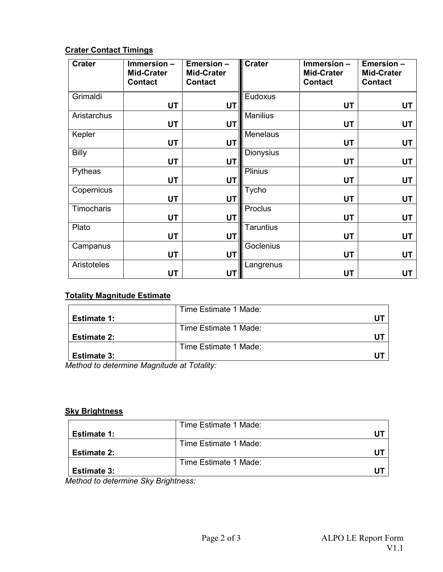# Crater Contact Timings

| <b>Crater</b> | Immersion -<br><b>Mid-Crater</b><br><b>Contact</b> | Emersion-<br><b>Mid-Crater</b><br><b>Contact</b> | <b>Crater</b>    | Immersion -<br><b>Mid-Crater</b><br><b>Contact</b> | Emersion-<br><b>Mid-Crater</b><br><b>Contact</b> |
|---------------|----------------------------------------------------|--------------------------------------------------|------------------|----------------------------------------------------|--------------------------------------------------|
| Grimaldi      | <b>UT</b>                                          | <b>UT</b>                                        | Eudoxus          | <b>UT</b>                                          | <b>UT</b>                                        |
| Aristarchus   |                                                    |                                                  | Manilius         |                                                    |                                                  |
| Kepler        | <b>UT</b>                                          | UT                                               | Menelaus         | UT                                                 | UT                                               |
| Billy         | <b>UT</b>                                          | <b>UT</b>                                        | Dionysius        | <b>UT</b>                                          | <b>UT</b>                                        |
|               | UT                                                 | <b>UT</b>                                        |                  | UT                                                 | UT                                               |
| Pytheas       | <b>UT</b>                                          | <b>UT</b>                                        | Plinius          | <b>UT</b>                                          | UT                                               |
| Copernicus    | <b>UT</b>                                          | <b>UT</b>                                        | Tycho            | <b>UT</b>                                          | <b>UT</b>                                        |
| Timocharis    | <b>UT</b>                                          | <b>UT</b>                                        | Proclus          | UT                                                 | <b>UT</b>                                        |
| Plato         | <b>UT</b>                                          | <b>UT</b>                                        | <b>Taruntius</b> | <b>UT</b>                                          | <b>UT</b>                                        |
| Campanus      | <b>UT</b>                                          | <b>UT</b>                                        | Goclenius        | <b>UT</b>                                          | UT                                               |
| Aristoteles   | UT                                                 | UT                                               | Langrenus        | UT                                                 | UT                                               |

## **Totality Magnitude Estimate**

|                                      | Time Estimate 1 Made: |  |
|--------------------------------------|-----------------------|--|
| <b>Estimate 1:</b>                   |                       |  |
|                                      | Time Estimate 1 Made: |  |
| <b>Estimate 2:</b>                   |                       |  |
|                                      | Time Estimate 1 Made: |  |
| <b>Estimate 3:</b>                   |                       |  |
| $M = H_1 + H_2 + H_3 + H_4 + \ldots$ |                       |  |

Method to determine Magnitude at Totality:

### **Sky Brightness**

|                                                                                                                                               | Time Estimate 1 Made: |  |
|-----------------------------------------------------------------------------------------------------------------------------------------------|-----------------------|--|
| <b>Estimate 1:</b>                                                                                                                            |                       |  |
|                                                                                                                                               | Time Estimate 1 Made: |  |
| <b>Estimate 2:</b>                                                                                                                            |                       |  |
|                                                                                                                                               | Time Estimate 1 Made: |  |
| <b>Estimate 3:</b>                                                                                                                            |                       |  |
| $M = H_{\text{max}} + H_{\text{max}} + H_{\text{max}} + H_{\text{max}}$ and $\sum_{i=1}^{n} H_{\text{max}} + H_{\text{max}} + H_{\text{max}}$ |                       |  |

Method to determine Sky Brightness: